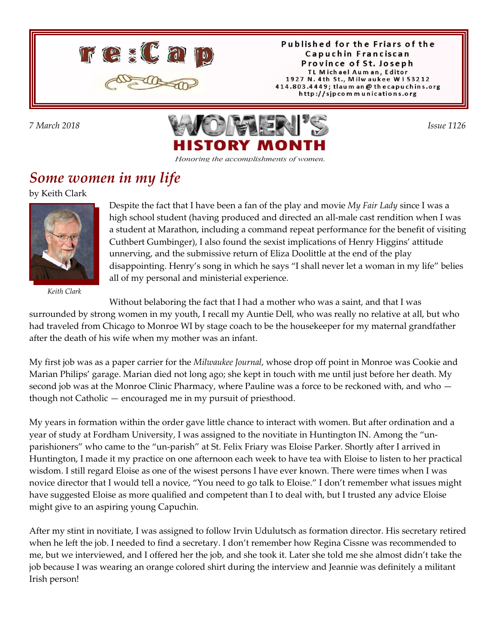

Published for the Friars of the Capuchin Franciscan Province of St. Joseph TL Michael Auman, Editor 1927 N. 4th St., Milwaukee W153212 414.803.4449; tlaum an @ thecapuchins.org http://sjpcommunications.org



#### Honoring the accomplishments of women.

### *Some women in my life*

by Keith Clark



*Keith Clark*

Despite the fact that I have been a fan of the play and movie *My Fair Lady* since I was a high school student (having produced and directed an all-male cast rendition when I was a student at Marathon, including a command repeat performance for the benefit of visiting Cuthbert Gumbinger), I also found the sexist implications of Henry Higgins' attitude unnerving, and the submissive return of Eliza Doolittle at the end of the play disappointing. Henry's song in which he says "I shall never let a woman in my life" belies all of my personal and ministerial experience.

Without belaboring the fact that I had a mother who was a saint, and that I was

surrounded by strong women in my youth, I recall my Auntie Dell, who was really no relative at all, but who had traveled from Chicago to Monroe WI by stage coach to be the housekeeper for my maternal grandfather after the death of his wife when my mother was an infant.

My first job was as a paper carrier for the *Milwaukee Journal*, whose drop off point in Monroe was Cookie and Marian Philips' garage. Marian died not long ago; she kept in touch with me until just before her death. My second job was at the Monroe Clinic Pharmacy, where Pauline was a force to be reckoned with, and who though not Catholic — encouraged me in my pursuit of priesthood.

My years in formation within the order gave little chance to interact with women. But after ordination and a year of study at Fordham University, I was assigned to the novitiate in Huntington IN. Among the "unparishioners" who came to the "un-parish" at St. Felix Friary was Eloise Parker. Shortly after I arrived in Huntington, I made it my practice on one afternoon each week to have tea with Eloise to listen to her practical wisdom. I still regard Eloise as one of the wisest persons I have ever known. There were times when I was novice director that I would tell a novice, "You need to go talk to Eloise." I don't remember what issues might have suggested Eloise as more qualified and competent than I to deal with, but I trusted any advice Eloise might give to an aspiring young Capuchin.

After my stint in novitiate, I was assigned to follow Irvin Udulutsch as formation director. His secretary retired when he left the job. I needed to find a secretary. I don't remember how Regina Cissne was recommended to me, but we interviewed, and I offered her the job, and she took it. Later she told me she almost didn't take the job because I was wearing an orange colored shirt during the interview and Jeannie was definitely a militant Irish person!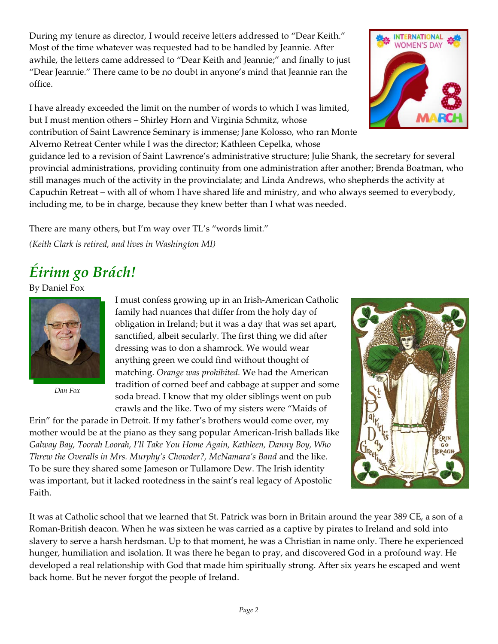During my tenure as director, I would receive letters addressed to "Dear Keith." Most of the time whatever was requested had to be handled by Jeannie. After awhile, the letters came addressed to "Dear Keith and Jeannie;" and finally to just "Dear Jeannie." There came to be no doubt in anyone's mind that Jeannie ran the office.

I have already exceeded the limit on the number of words to which I was limited, but I must mention others – Shirley Horn and Virginia Schmitz, whose contribution of Saint Lawrence Seminary is immense; Jane Kolosso, who ran Monte Alverno Retreat Center while I was the director; Kathleen Cepelka, whose

guidance led to a revision of Saint Lawrence's administrative structure; Julie Shank, the secretary for several provincial administrations, providing continuity from one administration after another; Brenda Boatman, who still manages much of the activity in the provincialate; and Linda Andrews, who shepherds the activity at Capuchin Retreat – with all of whom I have shared life and ministry, and who always seemed to everybody, including me, to be in charge, because they knew better than I what was needed.

There are many others, but I'm way over TL's "words limit." *(Keith Clark is retired, and lives in Washington MI)*

# *Éirinn go Brách!*

By Daniel Fox



*Dan Fox*

I must confess growing up in an Irish-American Catholic family had nuances that differ from the holy day of obligation in Ireland; but it was a day that was set apart, sanctified, albeit secularly. The first thing we did after dressing was to don a shamrock. We would wear anything green we could find without thought of matching. *Orange was prohibited.* We had the American tradition of corned beef and cabbage at supper and some soda bread. I know that my older siblings went on pub crawls and the like. Two of my sisters were "Maids of

Erin" for the parade in Detroit. If my father's brothers would come over, my mother would be at the piano as they sang popular American-Irish ballads like *Galway Bay, Toorah Loorah, I'll Take You Home Again, Kathleen, Danny Boy, Who Threw the Overalls in Mrs. Murphy's Chowder?, McNamara's Band* and the like. To be sure they shared some Jameson or Tullamore Dew. The Irish identity was important, but it lacked rootedness in the saint's real legacy of Apostolic Faith.



It was at Catholic school that we learned that St. Patrick was born in Britain around the year 389 CE, a son of a Roman-British deacon. When he was sixteen he was carried as a captive by pirates to Ireland and sold into slavery to serve a harsh herdsman. Up to that moment, he was a Christian in name only. There he experienced hunger, humiliation and isolation. It was there he began to pray, and discovered God in a profound way. He developed a real relationship with God that made him spiritually strong. After six years he escaped and went back home. But he never forgot the people of Ireland.

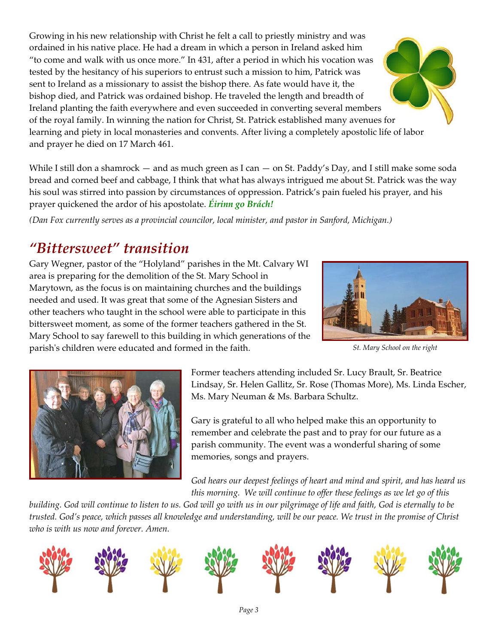Growing in his new relationship with Christ he felt a call to priestly ministry and was ordained in his native place. He had a dream in which a person in Ireland asked him "to come and walk with us once more." In 431, after a period in which his vocation was tested by the hesitancy of his superiors to entrust such a mission to him, Patrick was sent to Ireland as a missionary to assist the bishop there. As fate would have it, the bishop died, and Patrick was ordained bishop. He traveled the length and breadth of Ireland planting the faith everywhere and even succeeded in converting several members of the royal family. In winning the nation for Christ, St. Patrick established many avenues for learning and piety in local monasteries and convents. After living a completely apostolic life of labor and prayer he died on 17 March 461.

While I still don a shamrock — and as much green as I can — on St. Paddy's Day, and I still make some soda bread and corned beef and cabbage, I think that what has always intrigued me about St. Patrick was the way his soul was stirred into passion by circumstances of oppression. Patrick's pain fueled his prayer, and his prayer quickened the ardor of his apostolate. *Éirinn go Brách!*

*(Dan Fox currently serves as a provincial councilor, local minister, and pastor in Sanford, Michigan.)*

## *"Bittersweet" transition*

Gary Wegner, pastor of the "Holyland" parishes in the Mt. Calvary WI area is preparing for the demolition of the St. Mary School in Marytown, as the focus is on maintaining churches and the buildings needed and used. It was great that some of the Agnesian Sisters and other teachers who taught in the school were able to participate in this bittersweet moment, as some of the former teachers gathered in the St. Mary School to say farewell to this building in which generations of the parish's children were educated and formed in the faith.



*St. Mary School on the right*



Former teachers attending included Sr. Lucy Brault, Sr. Beatrice Lindsay, Sr. Helen Gallitz, Sr. Rose (Thomas More), Ms. Linda Escher, Ms. Mary Neuman & Ms. Barbara Schultz.

Gary is grateful to all who helped make this an opportunity to remember and celebrate the past and to pray for our future as a parish community. The event was a wonderful sharing of some memories, songs and prayers.

*God hears our deepest feelings of heart and mind and spirit, and has heard us this morning. We will continue to offer these feelings as we let go of this*

*building. God will continue to listen to us. God will go with us in our pilgrimage of life and faith, God is eternally to be trusted. God's peace, which passes all knowledge and understanding, will be our peace. We trust in the promise of Christ who is with us now and forever. Amen.*